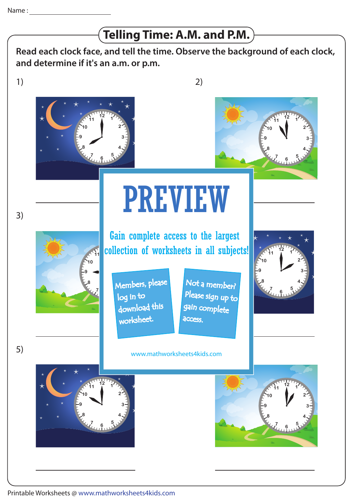## **Telling Time: A.M. and P.M.**

**Read each clock face, and tell the time. Observe the background of each clock, and determine if it's an a.m. or p.m.**

1)

3)

5)



2)



## 4) PREVIEW

**<u>collection</u>** of worksheets in all subjects! Gain complete access to the largest

**5** Members, please download this worksheet. log in to

Not a member? gain complete Please sign up to **access** 



6) www.mathworksheets4kids.com

 $12 \tbinom{7}{1}$